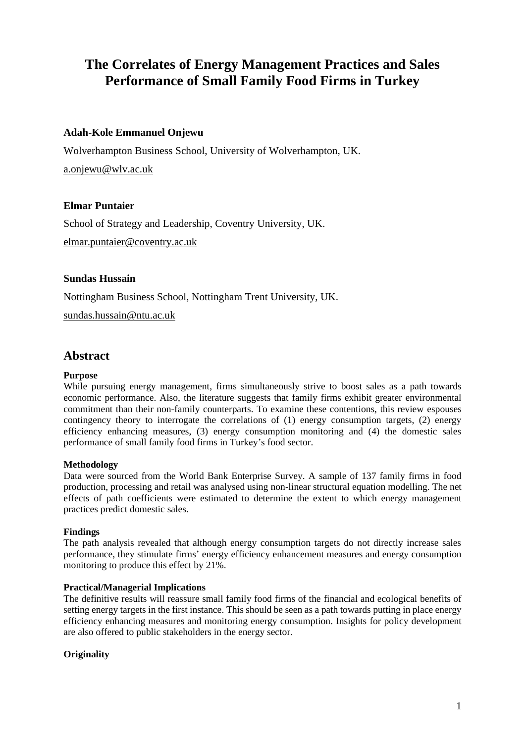# **The Correlates of Energy Management Practices and Sales Performance of Small Family Food Firms in Turkey**

# **Adah-Kole Emmanuel Onjewu**

Wolverhampton Business School, University of Wolverhampton, UK.

[a.onjewu@wlv.ac.uk](mailto:a.onjewu@wlv.ac.uk)

# **Elmar Puntaier**

School of Strategy and Leadership, Coventry University, UK. [elmar.puntaier@coventry.ac.uk](mailto:elmar.puntaier@coventry.ac.uk)

# **Sundas Hussain**

Nottingham Business School, Nottingham Trent University, UK.

[sundas.hussain@ntu.ac.uk](mailto:sundas.hussain@ntu.ac.uk)

# **Abstract**

# **Purpose**

While pursuing energy management, firms simultaneously strive to boost sales as a path towards economic performance. Also, the literature suggests that family firms exhibit greater environmental commitment than their non-family counterparts. To examine these contentions, this review espouses contingency theory to interrogate the correlations of (1) energy consumption targets, (2) energy efficiency enhancing measures, (3) energy consumption monitoring and (4) the domestic sales performance of small family food firms in Turkey's food sector.

# **Methodology**

Data were sourced from the World Bank Enterprise Survey. A sample of 137 family firms in food production, processing and retail was analysed using non-linear structural equation modelling. The net effects of path coefficients were estimated to determine the extent to which energy management practices predict domestic sales.

# **Findings**

The path analysis revealed that although energy consumption targets do not directly increase sales performance, they stimulate firms' energy efficiency enhancement measures and energy consumption monitoring to produce this effect by 21%.

# **Practical/Managerial Implications**

The definitive results will reassure small family food firms of the financial and ecological benefits of setting energy targets in the first instance. This should be seen as a path towards putting in place energy efficiency enhancing measures and monitoring energy consumption. Insights for policy development are also offered to public stakeholders in the energy sector.

# **Originality**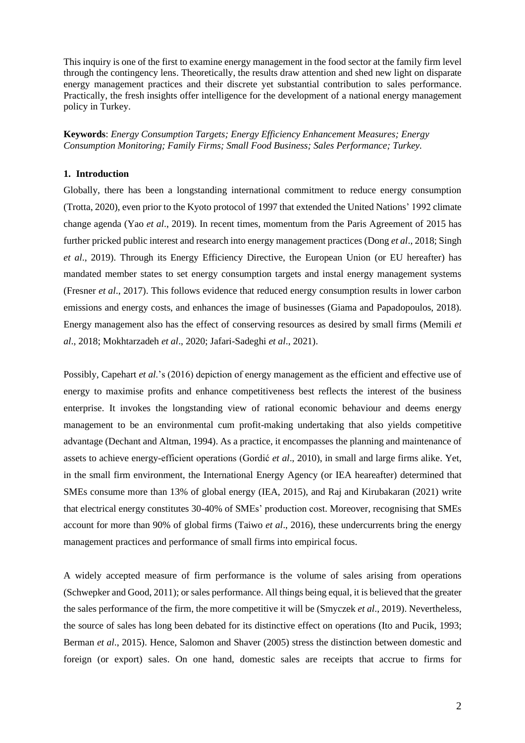This inquiry is one of the first to examine energy management in the food sector at the family firm level through the contingency lens. Theoretically, the results draw attention and shed new light on disparate energy management practices and their discrete yet substantial contribution to sales performance. Practically, the fresh insights offer intelligence for the development of a national energy management policy in Turkey.

**Keywords**: *Energy Consumption Targets; Energy Efficiency Enhancement Measures; Energy Consumption Monitoring; Family Firms; Small Food Business; Sales Performance; Turkey.*

#### **1. Introduction**

Globally, there has been a longstanding international commitment to reduce energy consumption (Trotta, 2020), even prior to the Kyoto protocol of 1997 that extended the United Nations' 1992 climate change agenda (Yao *et al*., 2019). In recent times, momentum from the Paris Agreement of 2015 has further pricked public interest and research into energy management practices (Dong *et al*., 2018; Singh *et al*., 2019). Through its Energy Efficiency Directive, the European Union (or EU hereafter) has mandated member states to set energy consumption targets and instal energy management systems (Fresner *et al*., 2017). This follows evidence that reduced energy consumption results in lower carbon emissions and energy costs, and enhances the image of businesses (Giama and Papadopoulos, 2018). Energy management also has the effect of conserving resources as desired by small firms (Memili *et al*., 2018; Mokhtarzadeh *et al*., 2020; Jafari-Sadeghi *et al*., 2021).

Possibly, Capehart *et al*.'s (2016) depiction of energy management as the efficient and effective use of energy to maximise profits and enhance competitiveness best reflects the interest of the business enterprise. It invokes the longstanding view of rational economic behaviour and deems energy management to be an environmental cum profit-making undertaking that also yields competitive advantage (Dechant and Altman, 1994). As a practice, it encompasses the planning and maintenance of assets to achieve energy-efficient operations (Gordić *et al*., 2010), in small and large firms alike. Yet, in the small firm environment, the International Energy Agency (or IEA heareafter) determined that SMEs consume more than 13% of global energy (IEA, 2015), and Raj and Kirubakaran (2021) write that electrical energy constitutes 30-40% of SMEs' production cost. Moreover, recognising that SMEs account for more than 90% of global firms (Taiwo *et al*., 2016), these undercurrents bring the energy management practices and performance of small firms into empirical focus.

A widely accepted measure of firm performance is the volume of sales arising from operations (Schwepker and Good, 2011); or sales performance. All things being equal, it is believed that the greater the sales performance of the firm, the more competitive it will be (Smyczek *et al*., 2019). Nevertheless, the source of sales has long been debated for its distinctive effect on operations (Ito and Pucik, 1993; Berman *et al*., 2015). Hence, Salomon and Shaver (2005) stress the distinction between domestic and foreign (or export) sales. On one hand, domestic sales are receipts that accrue to firms for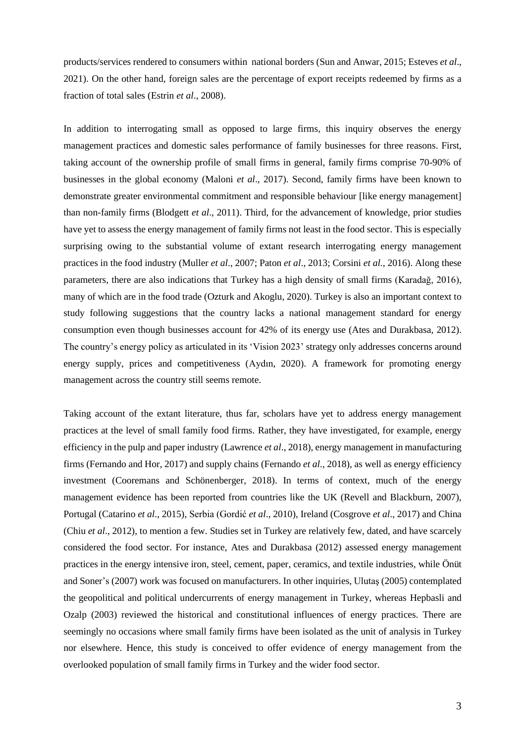products/services rendered to consumers within national borders (Sun and Anwar, 2015; Esteves *et al*., 2021). On the other hand, foreign sales are the percentage of export receipts redeemed by firms as a fraction of total sales (Estrin *et al*., 2008).

In addition to interrogating small as opposed to large firms, this inquiry observes the energy management practices and domestic sales performance of family businesses for three reasons. First, taking account of the ownership profile of small firms in general, family firms comprise 70-90% of businesses in the global economy (Maloni *et al*., 2017). Second, family firms have been known to demonstrate greater environmental commitment and responsible behaviour [like energy management] than non-family firms (Blodgett *et al*., 2011). Third, for the advancement of knowledge, prior studies have yet to assess the energy management of family firms not least in the food sector. This is especially surprising owing to the substantial volume of extant research interrogating energy management practices in the food industry (Muller *et al*., 2007; Paton *et al*., 2013; Corsini *et al.*, 2016). Along these parameters, there are also indications that Turkey has a high density of small firms (Karadağ, 2016), many of which are in the food trade (Ozturk and Akoglu, 2020). Turkey is also an important context to study following suggestions that the country lacks a national management standard for energy consumption even though businesses account for 42% of its energy use (Ates and Durakbasa, 2012). The country's energy policy as articulated in its 'Vision 2023' strategy only addresses concerns around energy supply, prices and competitiveness (Aydın, 2020). A framework for promoting energy management across the country still seems remote.

Taking account of the extant literature, thus far, scholars have yet to address energy management practices at the level of small family food firms. Rather, they have investigated, for example, energy efficiency in the pulp and paper industry (Lawrence *et al*., 2018), energy management in manufacturing firms (Fernando and Hor, 2017) and supply chains (Fernando *et al*., 2018), as well as energy efficiency investment (Cooremans and [Schönenberger,](https://www.sciencedirect.com/science/article/abs/pii/S0959652619314301#!) 2018). In terms of context, much of the energy management evidence has been reported from countries like the UK (Revell and Blackburn, 2007), Portugal (Catarino *et al*., 2015), Serbia (Gordić *et al*., 2010), Ireland (Cosgrove *et al*., 2017) and China (Chiu *et al*., 2012), to mention a few. Studies set in Turkey are relatively few, dated, and have scarcely considered the food sector. For instance, Ates and Durakbasa (2012) assessed energy management practices in the energy intensive iron, steel, cement, paper, ceramics, and textile industries, while Önüt and Soner's (2007) work was focused on manufacturers. In other inquiries, Ulutaş (2005) contemplated the geopolitical and political undercurrents of energy management in Turkey, whereas Hepbasli and Ozalp (2003) reviewed the historical and constitutional influences of energy practices. There are seemingly no occasions where small family firms have been isolated as the unit of analysis in Turkey nor elsewhere. Hence, this study is conceived to offer evidence of energy management from the overlooked population of small family firms in Turkey and the wider food sector.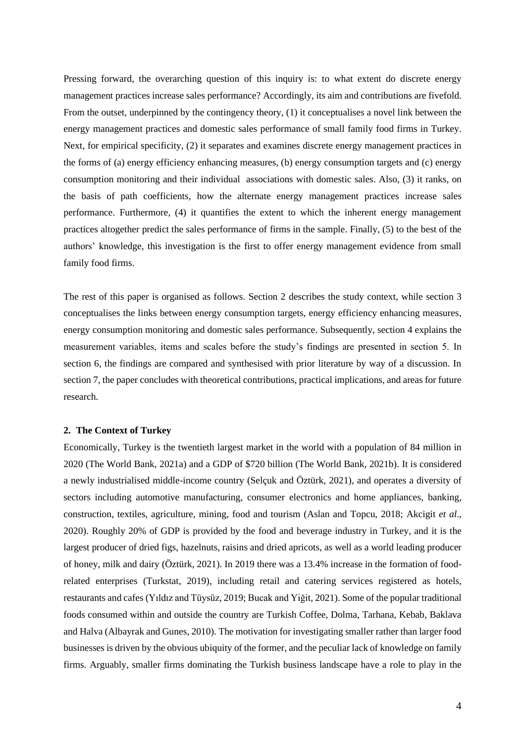Pressing forward, the overarching question of this inquiry is: to what extent do discrete energy management practices increase sales performance? Accordingly, its aim and contributions are fivefold. From the outset, underpinned by the contingency theory, (1) it conceptualises a novel link between the energy management practices and domestic sales performance of small family food firms in Turkey. Next, for empirical specificity, (2) it separates and examines discrete energy management practices in the forms of (a) energy efficiency enhancing measures, (b) energy consumption targets and (c) energy consumption monitoring and their individual associations with domestic sales. Also, (3) it ranks, on the basis of path coefficients, how the alternate energy management practices increase sales performance. Furthermore, (4) it quantifies the extent to which the inherent energy management practices altogether predict the sales performance of firms in the sample. Finally, (5) to the best of the authors' knowledge, this investigation is the first to offer energy management evidence from small family food firms.

The rest of this paper is organised as follows. Section 2 describes the study context, while section 3 conceptualises the links between energy consumption targets, energy efficiency enhancing measures, energy consumption monitoring and domestic sales performance. Subsequently, section 4 explains the measurement variables, items and scales before the study's findings are presented in section 5. In section 6, the findings are compared and synthesised with prior literature by way of a discussion. In section 7, the paper concludes with theoretical contributions, practical implications, and areas for future research.

#### **2. The Context of Turkey**

Economically, Turkey is the twentieth largest market in the world with a population of 84 million in 2020 (The World Bank, 2021a) and a GDP of \$720 billion (The World Bank, 2021b). It is considered a newly industrialised middle-income country (Selçuk and Öztürk, 2021), and operates a diversity of sectors including automotive manufacturing, consumer electronics and home appliances, banking, construction, textiles, agriculture, mining, food and tourism (Aslan and Topcu, 2018; Akcigit *et al*., 2020). Roughly 20% of GDP is provided by the food and beverage industry in Turkey, and it is the largest producer of dried figs, hazelnuts, raisins and dried apricots, as well as a world leading producer of honey, milk and dairy (Öztürk, 2021). In 2019 there was a 13.4% increase in the formation of foodrelated enterprises (Turkstat, 2019), including retail and catering services registered as hotels, restaurants and cafes (Yıldız and Tüysüz, 2019; Bucak and Yiğit, 2021). Some of the popular traditional foods consumed within and outside the country are Turkish Coffee, Dolma, Tarhana, Kebab, Baklava and Halva (Albayrak and Gunes, 2010). The motivation for investigating smaller rather than larger food businesses is driven by the obvious ubiquity of the former, and the peculiar lack of knowledge on family firms. Arguably, smaller firms dominating the Turkish business landscape have a role to play in the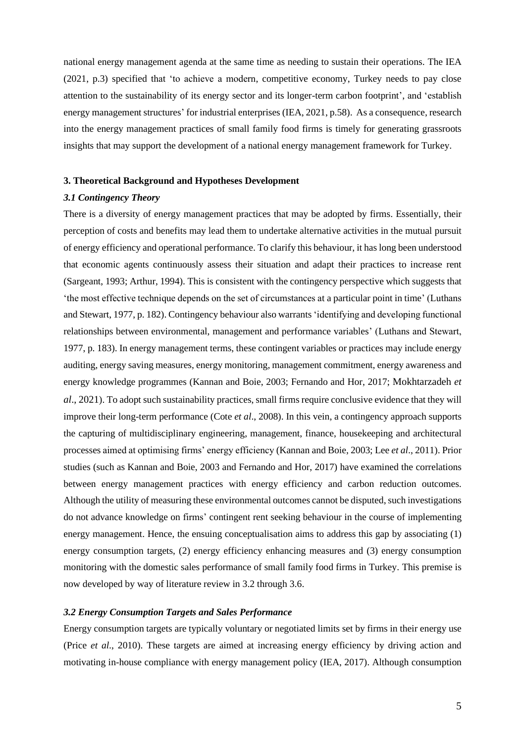national energy management agenda at the same time as needing to sustain their operations. The IEA (2021, p.3) specified that 'to achieve a modern, competitive economy, Turkey needs to pay close attention to the sustainability of its energy sector and its longer-term carbon footprint', and 'establish energy management structures' for industrial enterprises (IEA, 2021, p.58). As a consequence, research into the energy management practices of small family food firms is timely for generating grassroots insights that may support the development of a national energy management framework for Turkey.

# **3. Theoretical Background and Hypotheses Development**

#### *3.1 Contingency Theory*

There is a diversity of energy management practices that may be adopted by firms. Essentially, their perception of costs and benefits may lead them to undertake alternative activities in the mutual pursuit of energy efficiency and operational performance. To clarify this behaviour, it has long been understood that economic agents continuously assess their situation and adapt their practices to increase rent (Sargeant, 1993; Arthur, 1994). This is consistent with the contingency perspective which suggests that 'the most effective technique depends on the set of circumstances at a particular point in time' (Luthans and Stewart, 1977, p. 182). Contingency behaviour also warrants 'identifying and developing functional relationships between environmental, management and performance variables' (Luthans and Stewart, 1977, p. 183). In energy management terms, these contingent variables or practices may include energy auditing, energy saving measures, energy monitoring, management commitment, energy awareness and energy knowledge programmes (Kannan and Boie, 2003; Fernando and Hor, 2017; Mokhtarzadeh *et al*., 2021). To adopt such sustainability practices, small firms require conclusive evidence that they will improve their long-term performance (Cote *et al*., 2008). In this vein, a contingency approach supports the capturing of multidisciplinary engineering, management, finance, housekeeping and architectural processes aimed at optimising firms' energy efficiency (Kannan and Boie, 2003; Lee *et al*., 2011). Prior studies (such as Kannan and Boie, 2003 and Fernando and Hor, 2017) have examined the correlations between energy management practices with energy efficiency and carbon reduction outcomes. Although the utility of measuring these environmental outcomes cannot be disputed, such investigations do not advance knowledge on firms' contingent rent seeking behaviour in the course of implementing energy management. Hence, the ensuing conceptualisation aims to address this gap by associating (1) energy consumption targets, (2) energy efficiency enhancing measures and (3) energy consumption monitoring with the domestic sales performance of small family food firms in Turkey. This premise is now developed by way of literature review in 3.2 through 3.6.

### *3.2 Energy Consumption Targets and Sales Performance*

Energy consumption targets are typically voluntary or negotiated limits set by firms in their energy use (Price *et al*., 2010). These targets are aimed at increasing energy efficiency by driving action and motivating in-house compliance with energy management policy (IEA, 2017). Although consumption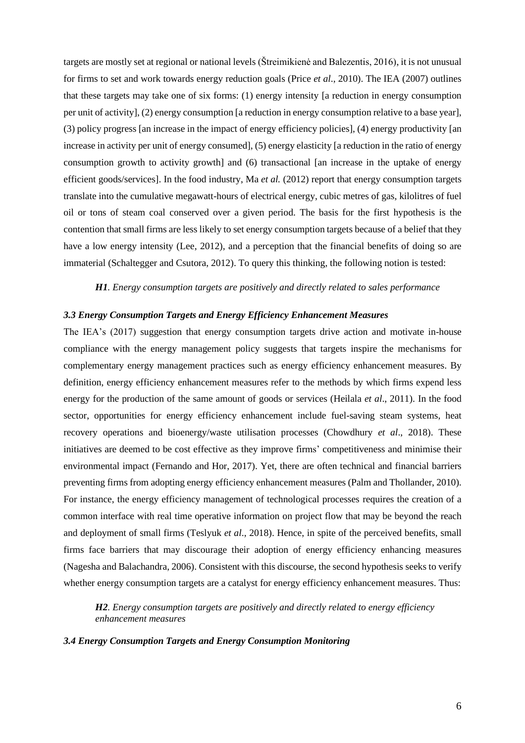targets are mostly set at regional or national levels (Štreimikienė and Balezentis, 2016), it is not unusual for firms to set and work towards energy reduction goals (Price *et al*., 2010). The IEA (2007) outlines that these targets may take one of six forms: (1) energy intensity [a reduction in energy consumption per unit of activity], (2) energy consumption [a reduction in energy consumption relative to a base year], (3) policy progress [an increase in the impact of energy efficiency policies], (4) energy productivity [an increase in activity per unit of energy consumed], (5) energy elasticity [a reduction in the ratio of energy consumption growth to activity growth] and (6) transactional [an increase in the uptake of energy efficient goods/services]. In the food industry, Ma *et al.* (2012) report that energy consumption targets translate into the cumulative megawatt-hours of electrical energy, cubic metres of gas, kilolitres of fuel oil or tons of steam coal conserved over a given period. The basis for the first hypothesis is the contention that small firms are less likely to set energy consumption targets because of a belief that they have a low energy intensity (Lee, 2012), and a perception that the financial benefits of doing so are immaterial [\(Schaltegger and Csutora, 2012\)](https://www.sciencedirect.com/science/article/pii/S0921344917302021#bib0270). To query this thinking, the following notion is tested:

*H1. Energy consumption targets are positively and directly related to sales performance*

#### *3.3 Energy Consumption Targets and Energy Efficiency Enhancement Measures*

The IEA's (2017) suggestion that energy consumption targets drive action and motivate in-house compliance with the energy management policy suggests that targets inspire the mechanisms for complementary energy management practices such as energy efficiency enhancement measures. By definition, energy efficiency enhancement measures refer to the methods by which firms expend less energy for the production of the same amount of goods or services (Heilala *et al*., 2011). In the food sector, opportunities for energy efficiency enhancement include fuel-saving steam systems, heat recovery operations and bioenergy/waste utilisation processes (Chowdhury *et al*., 2018). These initiatives are deemed to be cost effective as they improve firms' competitiveness and minimise their environmental impact (Fernando and Hor, 2017). Yet, there are often technical and financial barriers preventing firms from adopting energy efficiency enhancement measures (Palm and Thollander, 2010). For instance, the energy efficiency management of technological processes requires the creation of a common interface with real time operative information on project flow that may be beyond the reach and deployment of small firms (Teslyuk *et al*., 2018). Hence, in spite of the perceived benefits, small firms face barriers that may discourage their adoption of energy efficiency enhancing measures (Nagesha and Balachandra, 2006). Consistent with this discourse, the second hypothesis seeks to verify whether energy consumption targets are a catalyst for energy efficiency enhancement measures. Thus:

*H2. Energy consumption targets are positively and directly related to energy efficiency enhancement measures*

#### *3.4 Energy Consumption Targets and Energy Consumption Monitoring*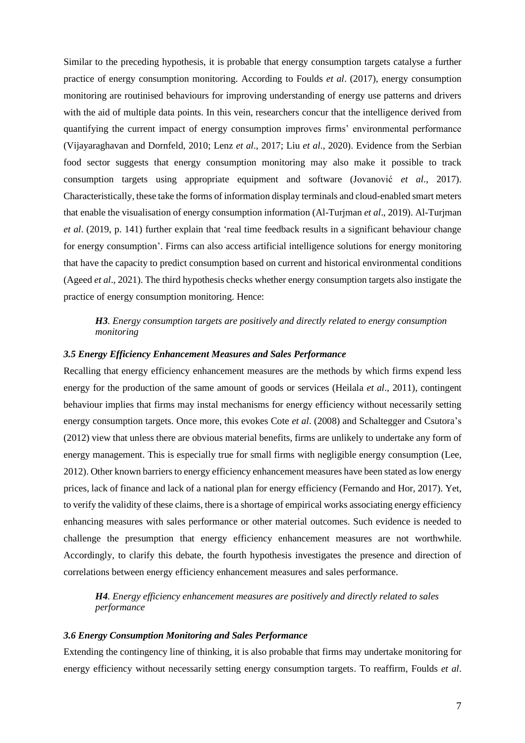Similar to the preceding hypothesis, it is probable that energy consumption targets catalyse a further practice of energy consumption monitoring. According to Foulds *et al*. (2017), energy consumption monitoring are routinised behaviours for improving understanding of energy use patterns and drivers with the aid of multiple data points. In this vein, researchers concur that the intelligence derived from quantifying the current impact of energy consumption improves firms' environmental performance (Vijayaraghavan and Dornfeld, 2010; Lenz *et al*., 2017; Liu *et al*., 2020). Evidence from the Serbian food sector suggests that energy consumption monitoring may also make it possible to track consumption targets using appropriate equipment and software (Jovanović *et al*., 2017). Characteristically, these take the forms of information display terminals and cloud-enabled smart meters that enable the visualisation of energy consumption information (Al-Turjman *et al*., 2019). Al-Turjman *et al*. (2019, p. 141) further explain that 'real time feedback results in a significant behaviour change for energy consumption'. Firms can also access artificial intelligence solutions for energy monitoring that have the capacity to predict consumption based on current and historical environmental conditions (Ageed *et al*., 2021). The third hypothesis checks whether energy consumption targets also instigate the practice of energy consumption monitoring. Hence:

# *H3. Energy consumption targets are positively and directly related to energy consumption monitoring*

#### *3.5 Energy Efficiency Enhancement Measures and Sales Performance*

Recalling that energy efficiency enhancement measures are the methods by which firms expend less energy for the production of the same amount of goods or services (Heilala *et al*., 2011), contingent behaviour implies that firms may instal mechanisms for energy efficiency without necessarily setting energy consumption targets. Once more, this evokes Cote *et al*. (2008) and [Schaltegger and Csutora's](https://www.sciencedirect.com/science/article/pii/S0921344917302021#bib0270) [\(2012\)](https://www.sciencedirect.com/science/article/pii/S0921344917302021#bib0270) view that unless there are obvious material benefits, firms are unlikely to undertake any form of energy management. This is especially true for small firms with negligible energy consumption (Lee, 2012). Other known barriers to energy efficiency enhancement measures have been stated as low energy prices, lack of finance and lack of a national plan for energy efficiency (Fernando and Hor, 2017). Yet, to verify the validity of these claims, there is a shortage of empirical works associating energy efficiency enhancing measures with sales performance or other material outcomes. Such evidence is needed to challenge the presumption that energy efficiency enhancement measures are not worthwhile. Accordingly, to clarify this debate, the fourth hypothesis investigates the presence and direction of correlations between energy efficiency enhancement measures and sales performance.

*H4. Energy efficiency enhancement measures are positively and directly related to sales performance*

# *3.6 Energy Consumption Monitoring and Sales Performance*

Extending the contingency line of thinking, it is also probable that firms may undertake monitoring for energy efficiency without necessarily setting energy consumption targets. To reaffirm, Foulds *et al*.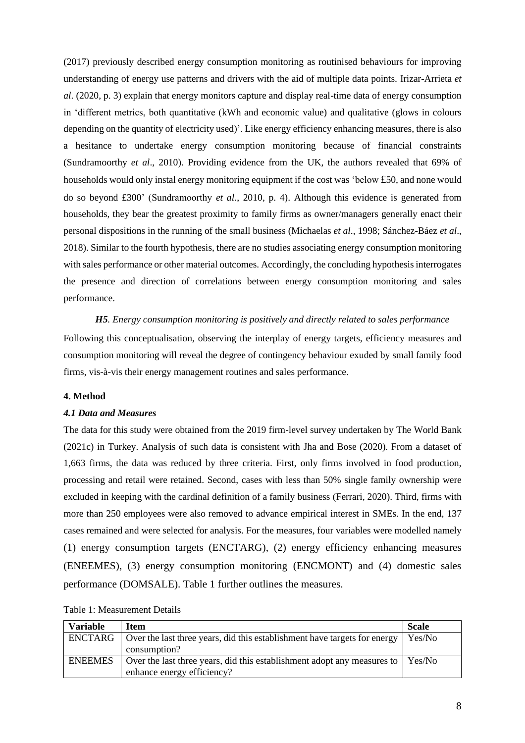(2017) previously described energy consumption monitoring as routinised behaviours for improving understanding of energy use patterns and drivers with the aid of multiple data points. Irizar-Arrieta *et al*. (2020, p. 3) explain that energy monitors capture and display real-time data of energy consumption in 'different metrics, both quantitative (kWh and economic value) and qualitative (glows in colours depending on the quantity of electricity used)'. Like energy efficiency enhancing measures, there is also a hesitance to undertake energy consumption monitoring because of financial constraints (Sundramoorthy *et al*., 2010). Providing evidence from the UK, the authors revealed that 69% of households would only instal energy monitoring equipment if the cost was 'below £50, and none would do so beyond £300' (Sundramoorthy *et al*., 2010, p. 4). Although this evidence is generated from households, they bear the greatest proximity to family firms as owner/managers generally enact their personal dispositions in the running of the small business (Michaelas *et al*., 1998; Sánchez-Báez *et al*., 2018). Similar to the fourth hypothesis, there are no studies associating energy consumption monitoring with sales performance or other material outcomes. Accordingly, the concluding hypothesis interrogates the presence and direction of correlations between energy consumption monitoring and sales performance.

*H5. Energy consumption monitoring is positively and directly related to sales performance* Following this conceptualisation, observing the interplay of energy targets, efficiency measures and consumption monitoring will reveal the degree of contingency behaviour exuded by small family food firms, vis-à-vis their energy management routines and sales performance.

#### **4. Method**

#### *4.1 Data and Measures*

The data for this study were obtained from the 2019 firm-level survey undertaken by The World Bank (2021c) in Turkey. Analysis of such data is consistent with Jha and Bose (2020). From a dataset of 1,663 firms, the data was reduced by three criteria. First, only firms involved in food production, processing and retail were retained. Second, cases with less than 50% single family ownership were excluded in keeping with the cardinal definition of a family business (Ferrari, 2020). Third, firms with more than 250 employees were also removed to advance empirical interest in SMEs. In the end, 137 cases remained and were selected for analysis. For the measures, four variables were modelled namely (1) energy consumption targets (ENCTARG), (2) energy efficiency enhancing measures (ENEEMES), (3) energy consumption monitoring (ENCMONT) and (4) domestic sales performance (DOMSALE). Table 1 further outlines the measures.

| <b>Variable</b> | <b>Item</b>                                                                    | <b>Scale</b> |
|-----------------|--------------------------------------------------------------------------------|--------------|
| ENCTARG         | Over the last three years, did this establishment have targets for energy      | Yes/No       |
|                 | consumption?                                                                   |              |
| <b>ENEEMES</b>  | Over the last three years, did this establishment adopt any measures to Yes/No |              |
|                 | enhance energy efficiency?                                                     |              |

Table 1: Measurement Details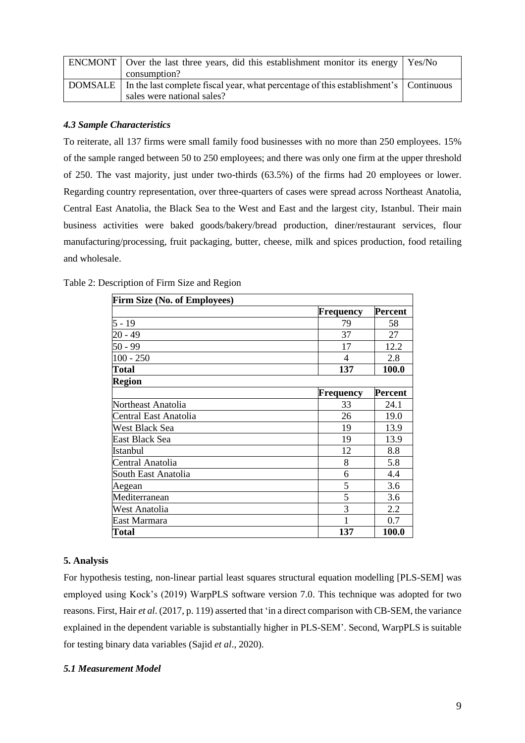| <b>ENCMONT</b> Over the last three years, did this establishment monitor its energy              | Yes/No |
|--------------------------------------------------------------------------------------------------|--------|
| consumption?                                                                                     |        |
| DOMSALE   In the last complete fiscal year, what percentage of this establishment's   Continuous |        |
| sales were national sales?                                                                       |        |

# *4.3 Sample Characteristics*

To reiterate, all 137 firms were small family food businesses with no more than 250 employees. 15% of the sample ranged between 50 to 250 employees; and there was only one firm at the upper threshold of 250. The vast majority, just under two-thirds (63.5%) of the firms had 20 employees or lower. Regarding country representation, over three-quarters of cases were spread across Northeast Anatolia, Central East Anatolia, the Black Sea to the West and East and the largest city, Istanbul. Their main business activities were baked goods/bakery/bread production, diner/restaurant services, flour manufacturing/processing, fruit packaging, butter, cheese, milk and spices production, food retailing and wholesale.

| <b>Firm Size (No. of Employees)</b> |                  |                             |                |
|-------------------------------------|------------------|-----------------------------|----------------|
|                                     |                  | <b>Percent</b><br>Frequency |                |
| $5 - 19$                            |                  | 79                          | 58             |
| 20 - 49                             |                  | 37                          | 27             |
| 50 - 99                             |                  | 17                          | 12.2           |
| $100 - 250$                         |                  | 4                           | 2.8            |
| <b>Total</b>                        |                  | 137                         | 100.0          |
| <b>Region</b>                       |                  |                             |                |
|                                     | <b>Frequency</b> |                             | <b>Percent</b> |
| Northeast Anatolia                  |                  | 33                          | 24.1           |
| Central East Anatolia               |                  | 26                          | 19.0           |
| <b>West Black Sea</b>               |                  | 19                          | 13.9           |
| East Black Sea                      |                  | 19                          | 13.9           |
| Istanbul                            |                  | 12                          | 8.8            |
| Central Anatolia                    |                  | 8                           | 5.8            |
| South East Anatolia                 |                  | 6                           | 4.4            |
| Aegean                              |                  | 5                           | 3.6            |
| Mediterranean                       |                  | 5                           | 3.6            |
| West Anatolia                       |                  | 3                           | 2.2            |
| East Marmara                        |                  |                             | 0.7            |
| <b>Total</b>                        |                  | 137                         | 100.0          |

| Table 2: Description of Firm Size and Region |  |  |
|----------------------------------------------|--|--|
|----------------------------------------------|--|--|

# **5. Analysis**

For hypothesis testing, non-linear partial least squares structural equation modelling [PLS-SEM] was employed using Kock's (2019) WarpPLS software version 7.0. This technique was adopted for two reasons. First, Hair *et al*. (2017, p. 119) asserted that 'in a direct comparison with CB-SEM, the variance explained in the dependent variable is substantially higher in PLS-SEM'. Second, WarpPLS is suitable for testing binary data variables (Sajid *et al*., 2020).

# *5.1 Measurement Model*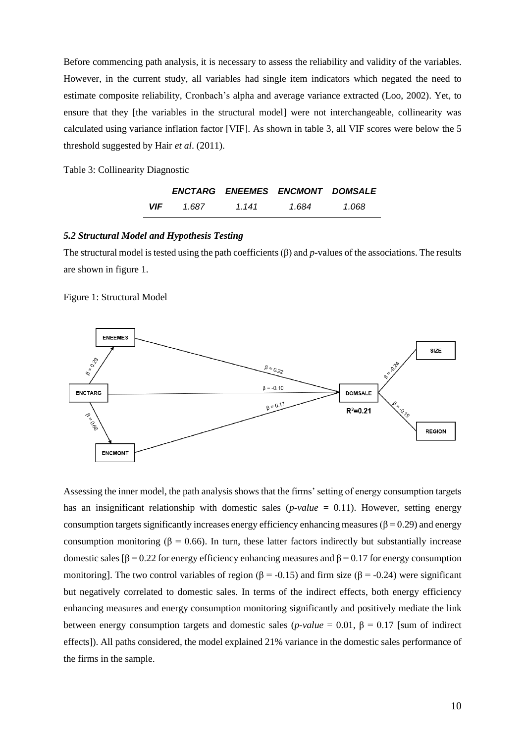Before commencing path analysis, it is necessary to assess the reliability and validity of the variables. However, in the current study, all variables had single item indicators which negated the need to estimate composite reliability, Cronbach's alpha and average variance extracted (Loo, 2002). Yet, to ensure that they [the variables in the structural model] were not interchangeable, collinearity was calculated using variance inflation factor [VIF]. As shown in table 3, all VIF scores were below the 5 threshold suggested by Hair *et al*. (2011).

Table 3: Collinearity Diagnostic

|            |       |       | ENCTARG ENEEMES ENCMONT DOMSALE |       |
|------------|-------|-------|---------------------------------|-------|
| <b>VIF</b> | 1.687 | 1 141 | 1.684                           | 1.068 |

#### *5.2 Structural Model and Hypothesis Testing*

The structural model is tested using the path coefficients (β) and *p*-values of the associations. The results are shown in figure 1.

#### Figure 1: Structural Model



Assessing the inner model, the path analysis shows that the firms' setting of energy consumption targets has an insignificant relationship with domestic sales (*p-value* = 0.11). However, setting energy consumption targets significantly increases energy efficiency enhancing measures ( $\beta$  = 0.29) and energy consumption monitoring (β = 0.66). In turn, these latter factors indirectly but substantially increase domestic sales [β = 0.22 for energy efficiency enhancing measures and β = 0.17 for energy consumption monitoring]. The two control variables of region ( $\beta$  = -0.15) and firm size ( $\beta$  = -0.24) were significant but negatively correlated to domestic sales. In terms of the indirect effects, both energy efficiency enhancing measures and energy consumption monitoring significantly and positively mediate the link between energy consumption targets and domestic sales (*p-value* = 0.01, β = 0.17 [sum of indirect effects]). All paths considered, the model explained 21% variance in the domestic sales performance of the firms in the sample.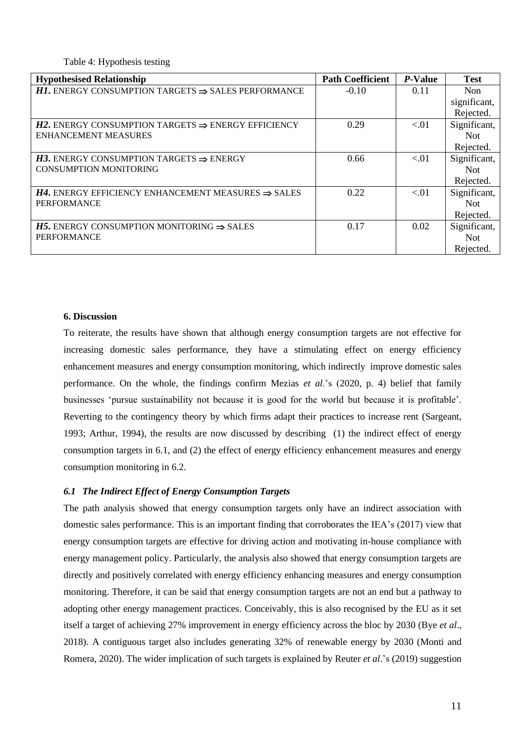Table 4: Hypothesis testing

| <b>Hypothesised Relationship</b>                                      | <b>Path Coefficient</b> | P-Value | <b>Test</b>  |
|-----------------------------------------------------------------------|-------------------------|---------|--------------|
| <b>H1.</b> ENERGY CONSUMPTION TARGETS $\Rightarrow$ SALES PERFORMANCE | $-0.10$                 | 0.11    | <b>Non</b>   |
|                                                                       |                         |         | significant, |
|                                                                       |                         |         | Rejected.    |
| <b>H2.</b> ENERGY CONSUMPTION TARGETS $\Rightarrow$ ENERGY EFFICIENCY | 0.29                    | < 01    | Significant, |
| <b>ENHANCEMENT MEASURES</b>                                           |                         |         | <b>Not</b>   |
|                                                                       |                         |         | Rejected.    |
| <b>H3.</b> ENERGY CONSUMPTION TARGETS $\Rightarrow$ ENERGY            | 0.66                    | < 01    | Significant, |
| <b>CONSUMPTION MONITORING</b>                                         |                         |         | <b>Not</b>   |
|                                                                       |                         |         | Rejected.    |
| <b>H4.</b> ENERGY EFFICIENCY ENHANCEMENT MEASURES $\Rightarrow$ SALES | 0.22                    | < 01    | Significant, |
| <b>PERFORMANCE</b>                                                    |                         |         | <b>Not</b>   |
|                                                                       |                         |         | Rejected.    |
| <b>H5.</b> ENERGY CONSUMPTION MONITORING $\Rightarrow$ SALES          | 0.17                    | 0.02    | Significant, |
| <b>PERFORMANCE</b>                                                    |                         |         | <b>Not</b>   |
|                                                                       |                         |         | Rejected.    |

#### **6. Discussion**

To reiterate, the results have shown that although energy consumption targets are not effective for increasing domestic sales performance, they have a stimulating effect on energy efficiency enhancement measures and energy consumption monitoring, which indirectly improve domestic sales performance. On the whole, the findings confirm Mezias *et al*.'s (2020, p. 4) belief that family businesses 'pursue sustainability not because it is good for the world but because it is profitable'. Reverting to the contingency theory by which firms adapt their practices to increase rent (Sargeant, 1993; Arthur, 1994), the results are now discussed by describing (1) the indirect effect of energy consumption targets in 6.1, and (2) the effect of energy efficiency enhancement measures and energy consumption monitoring in 6.2.

# *6.1 The Indirect Effect of Energy Consumption Targets*

The path analysis showed that energy consumption targets only have an indirect association with domestic sales performance. This is an important finding that corroborates the IEA's (2017) view that energy consumption targets are effective for driving action and motivating in-house compliance with energy management policy. Particularly, the analysis also showed that energy consumption targets are directly and positively correlated with energy efficiency enhancing measures and energy consumption monitoring. Therefore, it can be said that energy consumption targets are not an end but a pathway to adopting other energy management practices. Conceivably, this is also recognised by the EU as it set itself a target of achieving 27% improvement in energy efficiency across the bloc by 2030 (Bye *et al*., 2018). A contiguous target also includes generating 32% of renewable energy by 2030 (Monti and Romera, 2020). The wider implication of such targets is explained by Reuter *et al*.'s (2019) suggestion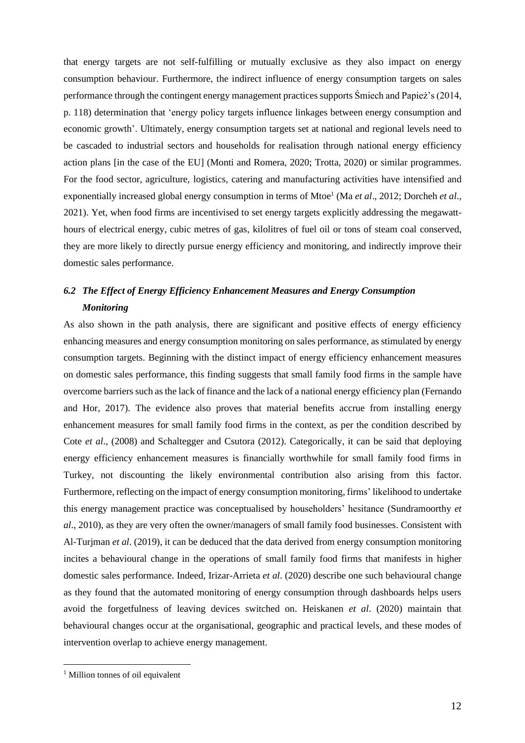that energy targets are not self-fulfilling or mutually exclusive as they also impact on energy consumption behaviour. Furthermore, the indirect influence of energy consumption targets on sales performance through the contingent energy management practices supports Śmiech and Papież's (2014, p. 118) determination that 'energy policy targets influence linkages between energy consumption and economic growth'. Ultimately, energy consumption targets set at national and regional levels need to be cascaded to industrial sectors and households for realisation through national energy efficiency action plans [in the case of the EU] (Monti and Romera, 2020; Trotta, 2020) or similar programmes. For the food sector, agriculture, logistics, catering and manufacturing activities have intensified and exponentially increased global energy consumption in terms of Mtoe<sup>1</sup> (Ma *et al.*, 2012; Dorcheh *et al.*, 2021). Yet, when food firms are incentivised to set energy targets explicitly addressing the megawatthours of electrical energy, cubic metres of gas, kilolitres of fuel oil or tons of steam coal conserved, they are more likely to directly pursue energy efficiency and monitoring, and indirectly improve their domestic sales performance.

# *6.2 The Effect of Energy Efficiency Enhancement Measures and Energy Consumption Monitoring*

As also shown in the path analysis, there are significant and positive effects of energy efficiency enhancing measures and energy consumption monitoring on sales performance, as stimulated by energy consumption targets. Beginning with the distinct impact of energy efficiency enhancement measures on domestic sales performance, this finding suggests that small family food firms in the sample have overcome barriers such as the lack of finance and the lack of a national energy efficiency plan (Fernando and Hor, 2017). The evidence also proves that material benefits accrue from installing energy enhancement measures for small family food firms in the context, as per the condition described by Cote *et al*., (2008) and [Schaltegger and Csutora \(2012\)](https://www.sciencedirect.com/science/article/pii/S0921344917302021#bib0270). Categorically, it can be said that deploying energy efficiency enhancement measures is financially worthwhile for small family food firms in Turkey, not discounting the likely environmental contribution also arising from this factor. Furthermore, reflecting on the impact of energy consumption monitoring, firms' likelihood to undertake this energy management practice was conceptualised by householders' hesitance (Sundramoorthy *et al*., 2010), as they are very often the owner/managers of small family food businesses. Consistent with Al-Turjman *et al*. (2019), it can be deduced that the data derived from energy consumption monitoring incites a behavioural change in the operations of small family food firms that manifests in higher domestic sales performance. Indeed, Irizar-Arrieta *et al*. (2020) describe one such behavioural change as they found that the automated monitoring of energy consumption through dashboards helps users avoid the forgetfulness of leaving devices switched on. Heiskanen *et al*. (2020) maintain that behavioural changes occur at the organisational, geographic and practical levels, and these modes of intervention overlap to achieve energy management.

<sup>&</sup>lt;sup>1</sup> Million tonnes of oil equivalent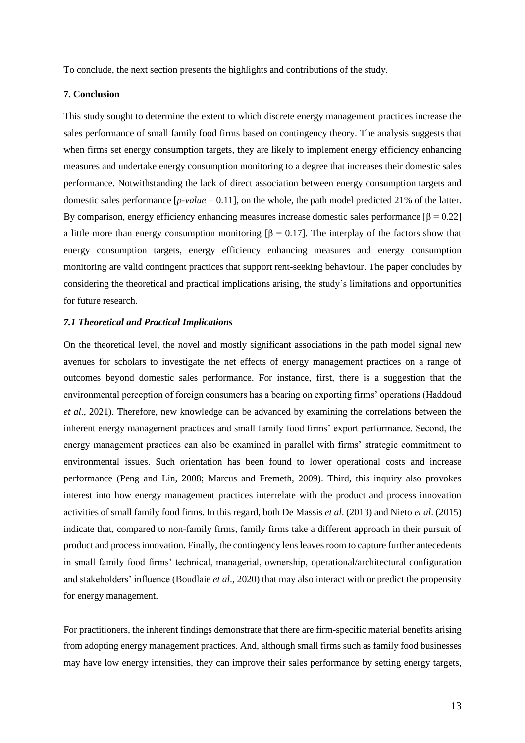To conclude, the next section presents the highlights and contributions of the study.

# **7. Conclusion**

This study sought to determine the extent to which discrete energy management practices increase the sales performance of small family food firms based on contingency theory. The analysis suggests that when firms set energy consumption targets, they are likely to implement energy efficiency enhancing measures and undertake energy consumption monitoring to a degree that increases their domestic sales performance. Notwithstanding the lack of direct association between energy consumption targets and domestic sales performance [*p-value* = 0.11], on the whole, the path model predicted 21% of the latter. By comparison, energy efficiency enhancing measures increase domestic sales performance  $[\beta = 0.22]$ a little more than energy consumption monitoring  $\beta = 0.17$ . The interplay of the factors show that energy consumption targets, energy efficiency enhancing measures and energy consumption monitoring are valid contingent practices that support rent-seeking behaviour. The paper concludes by considering the theoretical and practical implications arising, the study's limitations and opportunities for future research.

#### *7.1 Theoretical and Practical Implications*

On the theoretical level, the novel and mostly significant associations in the path model signal new avenues for scholars to investigate the net effects of energy management practices on a range of outcomes beyond domestic sales performance. For instance, first, there is a suggestion that the environmental perception of foreign consumers has a bearing on exporting firms' operations (Haddoud *et al*., 2021). Therefore, new knowledge can be advanced by examining the correlations between the inherent energy management practices and small family food firms' export performance. Second, the energy management practices can also be examined in parallel with firms' strategic commitment to environmental issues. Such orientation has been found to lower operational costs and increase performance (Peng and Lin, 2008; Marcus and Fremeth, 2009). Third, this inquiry also provokes interest into how energy management practices interrelate with the product and process innovation activities of small family food firms. In this regard, both De Massis *et al*. (2013) and Nieto *et al*. (2015) indicate that, compared to non-family firms, family firms take a different approach in their pursuit of product and process innovation. Finally, the contingency lensleaves room to capture further antecedents in small family food firms' technical, managerial, ownership, operational/architectural configuration and stakeholders' influence (Boudlaie *et al*., 2020) that may also interact with or predict the propensity for energy management.

For practitioners, the inherent findings demonstrate that there are firm-specific material benefits arising from adopting energy management practices. And, although small firms such as family food businesses may have low energy intensities, they can improve their sales performance by setting energy targets,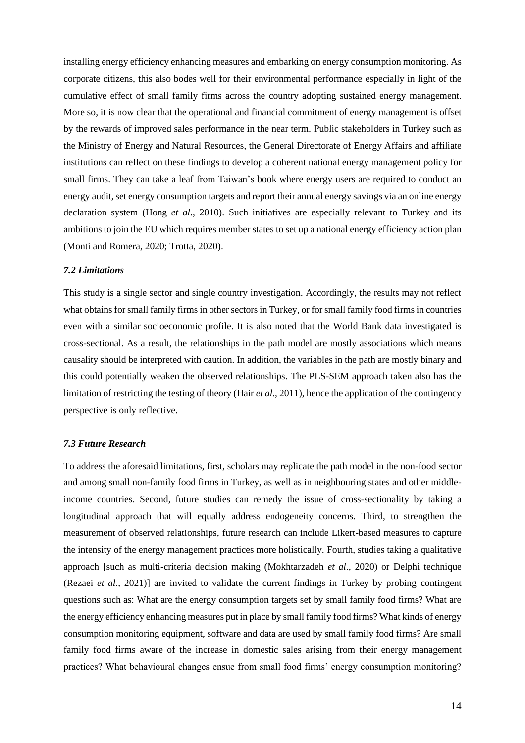installing energy efficiency enhancing measures and embarking on energy consumption monitoring. As corporate citizens, this also bodes well for their environmental performance especially in light of the cumulative effect of small family firms across the country adopting sustained energy management. More so, it is now clear that the operational and financial commitment of energy management is offset by the rewards of improved sales performance in the near term. Public stakeholders in Turkey such as the Ministry of Energy and Natural Resources, the General Directorate of Energy Affairs and affiliate institutions can reflect on these findings to develop a coherent national energy management policy for small firms. They can take a leaf from Taiwan's book where energy users are required to conduct an energy audit, set energy consumption targets and report their annual energy savings via an online energy declaration system (Hong *et al*., 2010). Such initiatives are especially relevant to Turkey and its ambitions to join the EU which requires member states to set up a national energy efficiency action plan (Monti and Romera, 2020; Trotta, 2020).

#### *7.2 Limitations*

This study is a single sector and single country investigation. Accordingly, the results may not reflect what obtains for small family firms in other sectors in Turkey, or for small family food firms in countries even with a similar socioeconomic profile. It is also noted that the World Bank data investigated is cross-sectional. As a result, the relationships in the path model are mostly associations which means causality should be interpreted with caution. In addition, the variables in the path are mostly binary and this could potentially weaken the observed relationships. The PLS-SEM approach taken also has the limitation of restricting the testing of theory (Hair *et al*., 2011), hence the application of the contingency perspective is only reflective.

#### *7.3 Future Research*

To address the aforesaid limitations, first, scholars may replicate the path model in the non-food sector and among small non-family food firms in Turkey, as well as in neighbouring states and other middleincome countries. Second, future studies can remedy the issue of cross-sectionality by taking a longitudinal approach that will equally address endogeneity concerns. Third, to strengthen the measurement of observed relationships, future research can include Likert-based measures to capture the intensity of the energy management practices more holistically. Fourth, studies taking a qualitative approach [such as multi-criteria decision making (Mokhtarzadeh *et al*., 2020) or Delphi technique (Rezaei *et al*., 2021)] are invited to validate the current findings in Turkey by probing contingent questions such as: What are the energy consumption targets set by small family food firms? What are the energy efficiency enhancing measures put in place by small family food firms? What kinds of energy consumption monitoring equipment, software and data are used by small family food firms? Are small family food firms aware of the increase in domestic sales arising from their energy management practices? What behavioural changes ensue from small food firms' energy consumption monitoring?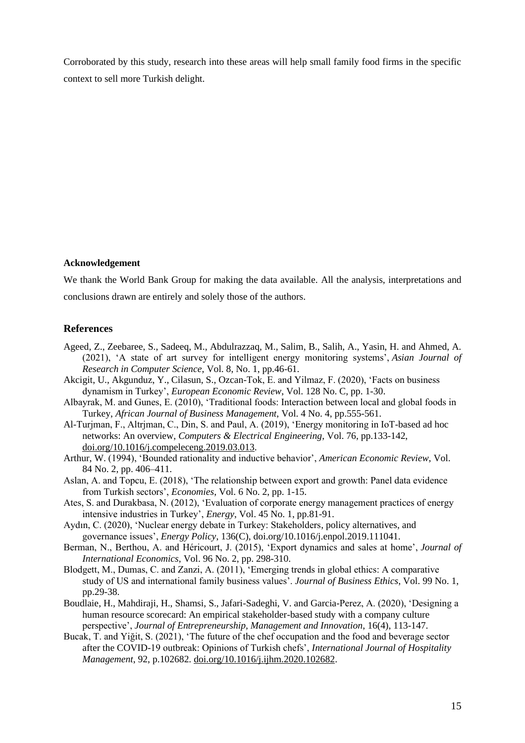Corroborated by this study, research into these areas will help small family food firms in the specific context to sell more Turkish delight.

#### **Acknowledgement**

We thank the World Bank Group for making the data available. All the analysis, interpretations and conclusions drawn are entirely and solely those of the authors.

#### **References**

- Ageed, Z., Zeebaree, S., Sadeeq, M., Abdulrazzaq, M., Salim, B., Salih, A., Yasin, H. and Ahmed, A. (2021), 'A state of art survey for intelligent energy monitoring systems', *Asian Journal of Research in Computer Science*, Vol. 8, No. 1, pp.46-61.
- Akcigit, U., Akgunduz, Y., Cilasun, S., Ozcan-Tok, E. and Yilmaz, F. (2020), 'Facts on business dynamism in Turkey', *European Economic Review*, Vol. 128 No. C, pp. 1-30.
- Albayrak, M. and Gunes, E. (2010), 'Traditional foods: Interaction between local and global foods in Turkey, *African Journal of Business Management*, Vol. 4 No. 4, pp.555-561.
- Al-Turjman, F., Altrjman, C., Din, S. and Paul, A. (2019), 'Energy monitoring in IoT-based ad hoc networks: An overview, *Computers & Electrical Engineering*, Vol. 76, pp.133-142, doi.org/10.1016/j.compeleceng.2019.03.013.
- Arthur, W. (1994), 'Bounded rationality and inductive behavior', *American Economic Review*, Vol. 84 No. 2, pp. 406–411.
- Aslan, A. and Topcu, E. (2018), 'The relationship between export and growth: Panel data evidence from Turkish sectors', *Economies*, Vol. 6 No. 2, pp. 1-15.
- Ates, S. and Durakbasa, N. (2012), 'Evaluation of corporate energy management practices of energy intensive industries in Turkey', *Energy*, Vol. 45 No. 1, pp.81-91.
- Aydın, C. (2020), 'Nuclear energy debate in Turkey: Stakeholders, policy alternatives, and governance issues', *Energy Policy*, 136(C), doi.org/10.1016/j.enpol.2019.111041.
- Berman, N., Berthou, A. and Héricourt, J. (2015), 'Export dynamics and sales at home', *Journal of International Economics*, Vol. 96 No. 2, pp. 298-310.
- Blodgett, M., Dumas, C. and Zanzi, A. (2011), 'Emerging trends in global ethics: A comparative study of US and international family business values'. *Journal of Business Ethics*, Vol. 99 No. 1, pp.29-38.
- Boudlaie, H., Mahdiraji, H., Shamsi, S., Jafari-Sadeghi, V. and Garcia-Perez, A. (2020), 'Designing a human resource scorecard: An empirical stakeholder-based study with a company culture perspective', *Journal of Entrepreneurship, Management and Innovation*, 16(4), 113-147.
- Bucak, T. and Yiğit, S. (2021), 'The future of the chef occupation and the food and beverage sector after the COVID-19 outbreak: Opinions of Turkish chefs', *International Journal of Hospitality Management*, 92, p.102682. [doi.org/10.1016/j.ijhm.2020.102682.](https://doi.org/10.1016/j.ijhm.2020.102682)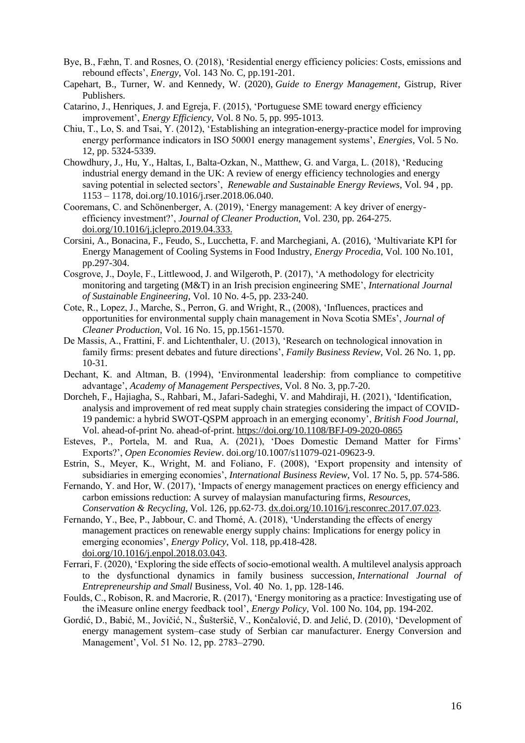- Bye, B., Fæhn, T. and Rosnes, O. (2018), 'Residential energy efficiency policies: Costs, emissions and rebound effects', *Energy*, Vol. 143 No. C, pp.191-201.
- Capehart, B., Turner, W. and Kennedy, W. (2020), *Guide to Energy Management*, Gistrup, River Publishers.
- Catarino, J., Henriques, J. and Egreja, F. (2015), 'Portuguese SME toward energy efficiency improvement', *Energy Efficiency*, Vol. 8 No. 5, pp. 995-1013.
- Chiu, T., Lo, S. and Tsai, Y. (2012), 'Establishing an integration-energy-practice model for improving energy performance indicators in ISO 50001 energy management systems', *Energies*, Vol. 5 No. 12, pp. 5324-5339.
- Chowdhury, J., Hu, Y., Haltas, I., Balta-Ozkan, N., Matthew, G. and Varga, L. (2018), 'Reducing industrial energy demand in the UK: A review of energy efficiency technologies and energy saving potential in selected sectors', *Renewable and Sustainable Energy Reviews*, Vol. 94 , pp. 1153 – 1178, doi.org/10.1016/j.rser.2018.06.040.
- Cooremans, C. and Schönenberger, A. (2019), 'Energy management: A key driver of energyefficiency investment?', *Journal of Cleaner Production*, Vol. 230, pp. 264-275. [doi.org/10.1016/j.jclepro.2019.04.333.](https://doi.org/10.1016/j.jclepro.2019.04.333)
- Corsini, A., Bonacina, F., Feudo, S., Lucchetta, F. and Marchegiani, A. (2016), 'Multivariate KPI for Energy Management of Cooling Systems in Food Industry, *Energy Procedia*, Vol. 100 No.101, pp.297-304.
- Cosgrove, J., Doyle, F., Littlewood, J. and Wilgeroth, P. (2017), 'A methodology for electricity monitoring and targeting (M&T) in an Irish precision engineering SME', *International Journal of Sustainable Engineering*, Vol. 10 No. 4-5, pp. 233-240.
- Cote, R., Lopez, J., Marche, S., Perron, G. and Wright, R., (2008), 'Influences, practices and opportunities for environmental supply chain management in Nova Scotia SMEs', *Journal of Cleaner Production*, Vol. 16 No. 15, pp.1561-1570.
- De Massis, A., Frattini, F. and Lichtenthaler, U. (2013), 'Research on technological innovation in family firms: present debates and future directions', *Family Business Review*, Vol. 26 No. 1, pp. 10-31.
- Dechant, K. and Altman, B. (1994), 'Environmental leadership: from compliance to competitive advantage', *Academy of Management Perspectives*, Vol. 8 No. 3, pp.7-20.
- [Dorcheh, F.,](https://www.emerald.com/insight/search?q=Farshid%20Riahi%20Dorcheh) [Hajiagha, S.,](https://www.emerald.com/insight/search?q=Seyed%20Hossein%20Razavi%20Hajiagha) [Rahbari, M.,](https://www.emerald.com/insight/search?q=Misagh%20Rahbari) [Jafari-Sadeghi, V.](https://www.emerald.com/insight/search?q=Vahid%20Jafari-Sadeghi) and [Mahdiraji, H.](https://www.emerald.com/insight/search?q=Hannan%20Amoozad%20Mahdiraji) (2021), 'Identification, analysis and improvement of red meat supply chain strategies considering the impact of COVID-19 pandemic: a hybrid SWOT-QSPM approach in an emerging economy', *[British Food Journal](https://www.emerald.com/insight/publication/issn/0007-070X)*, Vol. ahead-of-print No. ahead-of-print. <https://doi.org/10.1108/BFJ-09-2020-0865>
- Esteves, P., Portela, M. and Rua, A. (2021), 'Does Domestic Demand Matter for Firms' Exports?', *Open Economies Review*. doi.org/10.1007/s11079-021-09623-9.
- Estrin, S., Meyer, K., Wright, M. and Foliano, F. (2008), 'Export propensity and intensity of subsidiaries in emerging economies', *International Business Review*, Vol. 17 No. 5, pp. 574-586.
- Fernando, Y. and Hor, W. (2017), 'Impacts of energy management practices on energy efficiency and carbon emissions reduction: A survey of malaysian manufacturing firms, *Resources, Conservation & Recycling*, Vol. 126, pp.62-73. [dx.doi.org/10.1016/j.resconrec.2017.07.023.](http://dx.doi.org/10.1016/j.resconrec.2017.07.023)
- Fernando, Y., Bee, P., Jabbour, C. and Thomé, A. (2018), 'Understanding the effects of energy management practices on renewable energy supply chains: Implications for energy policy in emerging economies', *Energy Policy*, Vol. 118, pp.418-428. [doi.org/10.1016/j.enpol.2018.03.043.](https://doi.org/10.1016/j.enpol.2018.03.043)
- Ferrari, F. (2020), 'Exploring the side effects of socio-emotional wealth. A multilevel analysis approach to the dysfunctional dynamics in family business succession, *International Journal of Entrepreneurship and Small* Business, Vol. 40 No. 1, pp. 128-146.
- Foulds, C., Robison, R. and Macrorie, R. (2017), 'Energy monitoring as a practice: Investigating use of the iMeasure online energy feedback tool', *Energy Policy*, Vol. 100 No. 104, pp. 194-202.
- Gordić, D., Babić, M., Jovičić, N., Šušteršič, V., Končalović, D. and Jelić, D. (2010), 'Development of energy management system–case study of Serbian car manufacturer. Energy Conversion and Management', Vol. 51 No. 12, pp. 2783–2790.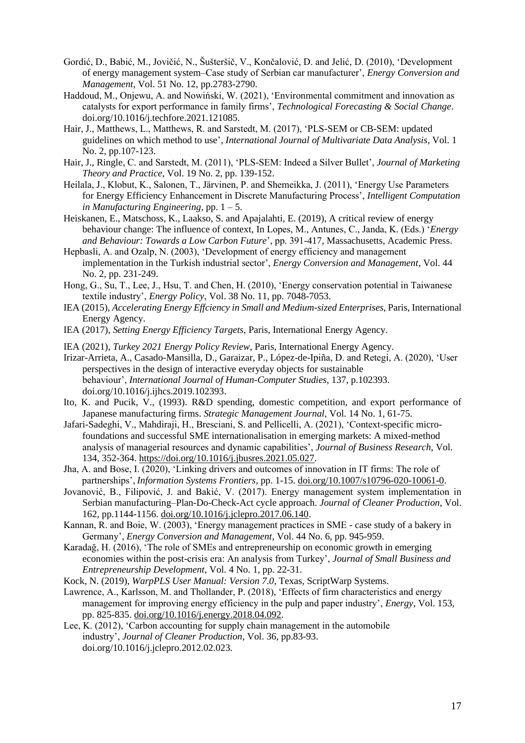- Gordić, D., Babić, M., Jovičić, N., Šušteršič, V., Končalović, D. and Jelić, D. (2010), 'Development of energy management system–Case study of Serbian car manufacturer', *Energy Conversion and Management*, Vol. 51 No. 12, pp.2783-2790.
- Haddoud, M., Onjewu, A. and Nowiński, W. (2021), 'Environmental commitment and innovation as catalysts for export performance in family firms', *Technological Forecasting & Social Change*. doi.org/10.1016/j.techfore.2021.121085.
- Hair, J., Matthews, L., Matthews, R. and Sarstedt, M. (2017), 'PLS-SEM or CB-SEM: updated guidelines on which method to use', *International Journal of Multivariate Data Analysis*, Vol. 1 No. 2, pp.107-123.
- Hair, J., Ringle, C. and Sarstedt, M. (2011), 'PLS-SEM: Indeed a Silver Bullet', *Journal of Marketing Theory and Practice*, Vol. 19 No. 2, pp. 139-152.
- Heilala, J., Klobut, K., Salonen, T., Järvinen, P. and Shemeikka, J. (2011), 'Energy Use Parameters for Energy Efficiency Enhancement in Discrete Manufacturing Process', *Intelligent Computation in Manufacturing Engineering*, pp. 1 – 5.
- Heiskanen, E., Matschoss, K., Laakso, S. and Apajalahti, E. (2019), A critical review of energy behaviour change: The influence of context, In Lopes, M., Antunes, C., Janda, K. (Eds.) '*Energy and Behaviour: Towards a Low Carbon Future*', pp. 391-417, Massachusetts, Academic Press.
- Hepbasli, A. and Ozalp, N. (2003), 'Development of energy efficiency and management implementation in the Turkish industrial sector', *Energy Conversion and Management*, Vol. 44 No. 2, pp. 231-249.
- Hong, G., Su, T., Lee, J., Hsu, T. and Chen, H. (2010), 'Energy conservation potential in Taiwanese textile industry', *Energy Policy*, Vol. 38 No. 11, pp. 7048-7053.
- IEA (2015), *Accelerating Energy Effciency in Small and Medium-sized Enterprises*, Paris, International Energy Agency.
- IEA (2017), *Setting Energy Efficiency Targets*, Paris, International Energy Agency.
- IEA (2021), *Turkey 2021 Energy Policy Review*, Paris, International Energy Agency.
- Irizar-Arrieta, A., Casado-Mansilla, D., Garaizar, P., López-de-Ipiña, D. and Retegi, A. (2020), 'User perspectives in the design of interactive everyday objects for sustainable behaviour', *International Journal of Human-Computer Studies*, 137, p.102393. doi.org/10.1016/j.ijhcs.2019.102393.
- Ito, K. and Pucik, V., (1993). R&D spending, domestic competition, and export performance of Japanese manufacturing firms. *Strategic Management Journal*, Vol. 14 No. 1, 61-75.
- Jafari-Sadeghi, V., Mahdiraji, H., Bresciani, S. and Pellicelli, A. (2021), 'Context-specific microfoundations and successful SME internationalisation in emerging markets: A mixed-method analysis of managerial resources and dynamic capabilities', *Journal of Business Research*, Vol. 134, 352-364. [https://doi.org/10.1016/j.jbusres.2021.05.027.](https://doi.org/10.1016/j.jbusres.2021.05.027)
- Jha, A. and Bose, I. (2020), 'Linking drivers and outcomes of innovation in IT firms: The role of partnerships', *Information Systems Frontiers*, pp. 1-15. [doi.org/10.1007/s10796-020-10061-0.](https://doi.org/10.1007/s10796-020-10061-0)
- Jovanović, B., Filipović, J. and Bakić, V. (2017). Energy management system implementation in Serbian manufacturing–Plan-Do-Check-Act cycle approach. *Journal of Cleaner Production*, Vol. 162, pp.1144-1156. [doi.org/10.1016/j.jclepro.2017.06.140.](https://doi.org/10.1016/j.jclepro.2017.06.140)
- Kannan, R. and Boie, W. (2003), 'Energy management practices in SME case study of a bakery in Germany', *Energy Conversion and Management*, Vol. 44 No. 6, pp. 945-959.
- Karadağ, H. (2016), 'The role of SMEs and entrepreneurship on economic growth in emerging economies within the post-crisis era: An analysis from Turkey', *Journal of Small Business and Entrepreneurship Development*, Vol. 4 No. 1, pp. 22-31.
- Kock, N. (2019), *WarpPLS User Manual: Version 7.0*, Texas, ScriptWarp Systems.
- Lawrence, A., Karlsson, M. and Thollander, P. (2018), 'Effects of firm characteristics and energy management for improving energy efficiency in the pulp and paper industry', *Energy*, Vol. 153, pp. 825-835. [doi.org/10.1016/j.energy.2018.04.092.](https://doi.org/10.1016/j.energy.2018.04.092)
- Lee, K. (2012), 'Carbon accounting for supply chain management in the automobile industry', *Journal of Cleaner Production*, Vol. 36, pp.83-93. doi.org/10.1016/j.jclepro.2012.02.023.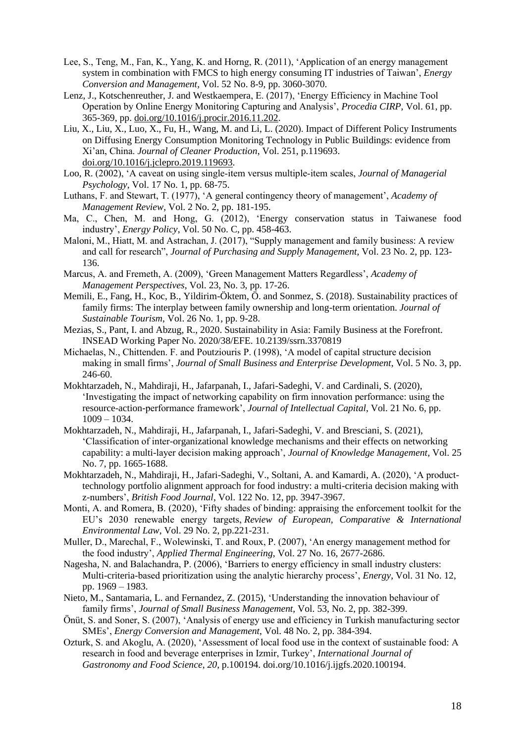- Lee, S., Teng, M., Fan, K., Yang, K. and Horng, R. (2011), 'Application of an energy management system in combination with FMCS to high energy consuming IT industries of Taiwan', *Energy Conversion and Management*, Vol. 52 No. 8-9, pp. 3060-3070.
- Lenz, J., [Kotschenreuther, J. and Westkaempera,](https://www.sciencedirect.com/science/article/pii/S2212827116313622#!) E. (2017), 'Energy Efficiency in Machine Tool Operation by Online Energy Monitoring Capturing and Analysis', *Procedia CIRP*, Vol. 61, pp. 365-369, pp. [doi.org/10.1016/j.procir.2016.11.202.](https://doi.org/10.1016/j.procir.2016.11.202)
- Liu, X., Liu, X., Luo, X., Fu, H., Wang, M. and Li, L. (2020). Impact of Different Policy Instruments on Diffusing Energy Consumption Monitoring Technology in Public Buildings: evidence from Xi'an, China. *Journal of Cleaner Production*, Vol. 251, p.119693. [doi.org/10.1016/j.jclepro.2019.119693.](https://doi.org/10.1016/j.jclepro.2019.119693)
- [Loo, R.](https://www.emerald.com/insight/search?q=Robert%20Loo) (2002), 'A caveat on using single‐item versus multiple‐item scales, *[Journal of Managerial](https://www.emerald.com/insight/publication/issn/0268-3946)  [Psychology](https://www.emerald.com/insight/publication/issn/0268-3946)*, Vol. 17 No. 1, pp. 68-75.
- Luthans, F. and Stewart, T. (1977), 'A general contingency theory of management', *Academy of Management Review*, Vol. 2 No. 2, pp. 181-195.
- Ma, C., Chen, M. and Hong, G. (2012), 'Energy conservation status in Taiwanese food industry', *Energy Policy*, Vol. 50 No. C, pp. 458-463.
- Maloni, M., Hiatt, M. and Astrachan, J. (2017), "Supply management and family business: A review and call for research", *Journal of Purchasing and Supply Management*, Vol. 23 No. 2, pp. 123- 136.
- Marcus, A. and Fremeth, A. (2009), 'Green Management Matters Regardless', *Academy of Management Perspectives*, Vol. 23, No. 3, pp. 17-26.
- Memili, E., Fang, H., Koc, B., Yildirim-Öktem, Ö. and Sonmez, S. (2018). Sustainability practices of family firms: The interplay between family ownership and long-term orientation. *Journal of Sustainable Tourism*, Vol. 26 No. 1, pp. 9-28.
- Mezias, S., Pant, I. and Abzug, R., 2020. Sustainability in Asia: Family Business at the Forefront. INSEAD Working Paper No. 2020/38/EFE. 10.2139/ssrn.3370819
- Michaelas, N., Chittenden. F. and Poutziouris P. (1998), 'A model of capital structure decision making in small firms', *Journal of Small Business and Enterprise Development*, Vol. 5 No. 3, pp. 246-60.
- Mokhtarzadeh, N., Mahdiraji, H., Jafarpanah, I., Jafari-Sadeghi, V. and Cardinali, S. (2020), 'Investigating the impact of networking capability on firm innovation performance: using the resource-action-performance framework', *Journal of Intellectual Capital*, Vol. 21 No. 6, pp. 1009 – 1034.
- Mokhtarzadeh, N., Mahdiraji, H., Jafarpanah, I., Jafari-Sadeghi, V. and Bresciani, S. (2021), 'Classification of inter-organizational knowledge mechanisms and their effects on networking capability: a multi-layer decision making approach', *Journal of Knowledge Management*, Vol. 25 No. 7, pp. 1665-1688.
- [Mokhtarzadeh, N.,](https://www.emerald.com/insight/search?q=Nima%20Garousi%20Mokhtarzadeh) [Mahdiraji, H.,](https://www.emerald.com/insight/search?q=Hannan%20Amoozad%20Mahdiraji) [Jafari-Sadeghi, V.,](https://www.emerald.com/insight/search?q=Vahid%20Jafari-Sadeghi) [Soltani, A.](https://www.emerald.com/insight/search?q=Arash%20Soltani) and [Kamardi, A.](https://www.emerald.com/insight/search?q=AliAsghar%20Abbasi%20Kamardi) (2020), 'A producttechnology portfolio alignment approach for food industry: a multi-criteria decision making with z-numbers', *[British Food Journal](https://www.emerald.com/insight/publication/issn/0007-070X)*, Vol. 122 No. 12, pp. 3947-3967.
- Monti, A. and Romera, B. (2020), 'Fifty shades of binding: appraising the enforcement toolkit for the EU's 2030 renewable energy targets, *Review of European, Comparative & International Environmental Law*, Vol. 29 No. 2, pp.221-231.
- Muller, D., Marechal, F., Wolewinski, T. and Roux, P. (2007), 'An energy management method for the food industry', *Applied Thermal Engineering*, Vol. 27 No. 16, 2677-2686.
- Nagesha, N. and Balachandra, P. (2006), 'Barriers to energy efficiency in small industry clusters: Multi-criteria-based prioritization using the analytic hierarchy process', *Energy*, Vol. 31 No. 12, pp. 1969 – 1983.
- Nieto, M., Santamaria, L. and Fernandez, Z. (2015), 'Understanding the innovation behaviour of family firms', *Journal of Small Business Management*, Vol. 53, No. 2, pp. 382-399.
- Önüt, S. and Soner, S. (2007), 'Analysis of energy use and efficiency in Turkish manufacturing sector SMEs', *Energy Conversion and Management*, Vol. 48 No. 2, pp. 384-394.
- Ozturk, S. and Akoglu, A. (2020), 'Assessment of local food use in the context of sustainable food: A research in food and beverage enterprises in Izmir, Turkey', *International Journal of Gastronomy and Food Science*, *20*, p.100194. [doi.org/10.1016/j.ijgfs.2020.100194.](https://doi.org/10.1016/j.ijgfs.2020.100194)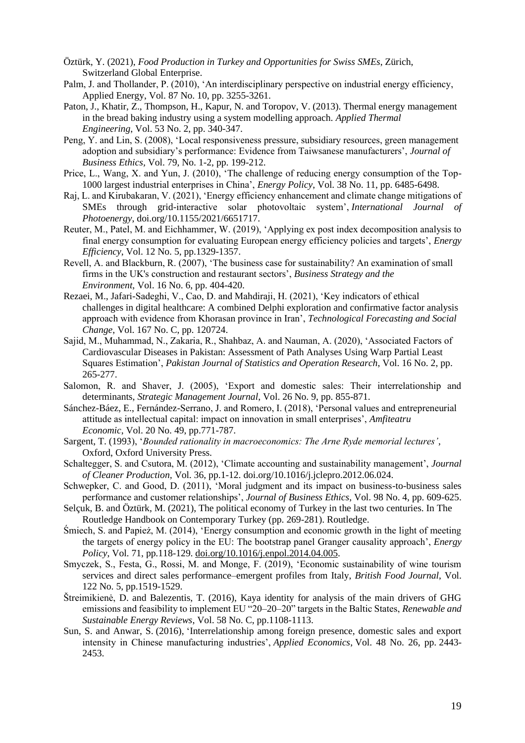- Öztürk, Y. (2021), *Food Production in Turkey and Opportunities for Swiss SMEs*, Zürich, Switzerland Global Enterprise.
- Palm, J. and Thollander, P. (2010), 'An interdisciplinary perspective on industrial energy efficiency, Applied Energy, Vol. 87 No. 10, pp. 3255-3261.
- Paton, J., Khatir, Z., Thompson, H., Kapur, N. and Toropov, V. (2013). Thermal energy management in the bread baking industry using a system modelling approach. *Applied Thermal Engineering*, Vol. 53 No. 2, pp. 340-347.
- Peng, Y. and Lin, S. (2008), 'Local responsiveness pressure, subsidiary resources, green management adoption and subsidiary's performance: Evidence from Taiwsanese manufacturers', *Journal of Business Ethics,* Vol. 79, No. 1-2, pp. 199-212.
- Price, L., Wang, X. and Yun, J. (2010), 'The challenge of reducing energy consumption of the Top-1000 largest industrial enterprises in China', *Energy Policy*, Vol. 38 No. 11, pp. 6485-6498.
- Raj, L. and Kirubakaran, V. (2021), 'Energy efficiency enhancement and climate change mitigations of SMEs through grid-interactive solar photovoltaic system', *International Journal of Photoenergy*, doi.org/10.1155/2021/6651717.
- Reuter, M., Patel, M. and Eichhammer, W. (2019), 'Applying ex post index decomposition analysis to final energy consumption for evaluating European energy efficiency policies and targets', *Energy Efficiency*, Vol. 12 No. 5, pp.1329-1357.
- Revell, A. and Blackburn, R. (2007), 'The business case for sustainability? An examination of small firms in the UK's construction and restaurant sectors', *Business Strategy and the Environment*, Vol. 16 No. 6, pp. 404-420.
- Rezaei, M., Jafari-Sadeghi, V., Cao, D. and Mahdiraji, H. (2021), 'Key indicators of ethical challenges in digital healthcare: A combined Delphi exploration and confirmative factor analysis approach with evidence from Khorasan province in Iran', *Technological Forecasting and Social Change*, Vol. 167 No. C, pp. 120724.
- Sajid, M., Muhammad, N., Zakaria, R., Shahbaz, A. and Nauman, A. (2020), 'Associated Factors of Cardiovascular Diseases in Pakistan: Assessment of Path Analyses Using Warp Partial Least Squares Estimation', *Pakistan Journal of Statistics and Operation Research*, Vol. 16 No. 2, pp. 265-277.
- Salomon, R. and Shaver, J. (2005), 'Export and domestic sales: Their interrelationship and determinants, *Strategic Management Journal*, Vol. 26 No. 9, pp. 855-871.
- Sánchez-Báez, E., Fernández-Serrano, J. and Romero, I. (2018), 'Personal values and entrepreneurial attitude as intellectual capital: impact on innovation in small enterprises', *Amfiteatru Economic*, Vol. 20 No. 49, pp.771-787.
- Sargent, T. (1993), '*Bounded rationality in macroeconomics: The Arne Ryde memorial lectures'*, Oxford, Oxford University Press.
- Schaltegger, S. and Csutora, M. (2012), 'Climate accounting and sustainability management', *Journal of Cleaner Production,* Vol. 36, pp.1-12. doi.org/10.1016/j.jclepro.2012.06.024.
- Schwepker, C. and Good, D. (2011), 'Moral judgment and its impact on business-to-business sales performance and customer relationships', *Journal of Business Ethics*, Vol. 98 No. 4, pp. 609-625.
- Selçuk, B. and Öztürk, M. (2021), The political economy of Turkey in the last two centuries. In The Routledge Handbook on Contemporary Turkey (pp. 269-281). Routledge.
- Śmiech, S. and Papież, M. (2014), 'Energy consumption and economic growth in the light of meeting the targets of energy policy in the EU: The bootstrap panel Granger causality approach', *Energy Policy*, Vol. 71, pp.118-129. [doi.org/10.1016/j.enpol.2014.04.005.](https://doi.org/10.1016/j.enpol.2014.04.005)
- Smyczek, S., Festa, G., Rossi, M. and Monge, F. (2019), 'Economic sustainability of wine tourism services and direct sales performance–emergent profiles from Italy, *British Food Journal*, Vol. 122 No. 5, pp.1519-1529.
- Štreimikienė, D. and Balezentis, T. (2016), Kaya identity for analysis of the main drivers of GHG emissions and feasibility to implement EU "20–20–20" targets in the Baltic States, *Renewable and Sustainable Energy Reviews*, Vol. 58 No. C, pp.1108-1113.
- Sun, S. and Anwar, S. (2016), 'Interrelationship among foreign presence, domestic sales and export intensity in Chinese manufacturing industries', *Applied Economics*, Vol. 48 No. 26, pp. 2443- 2453.